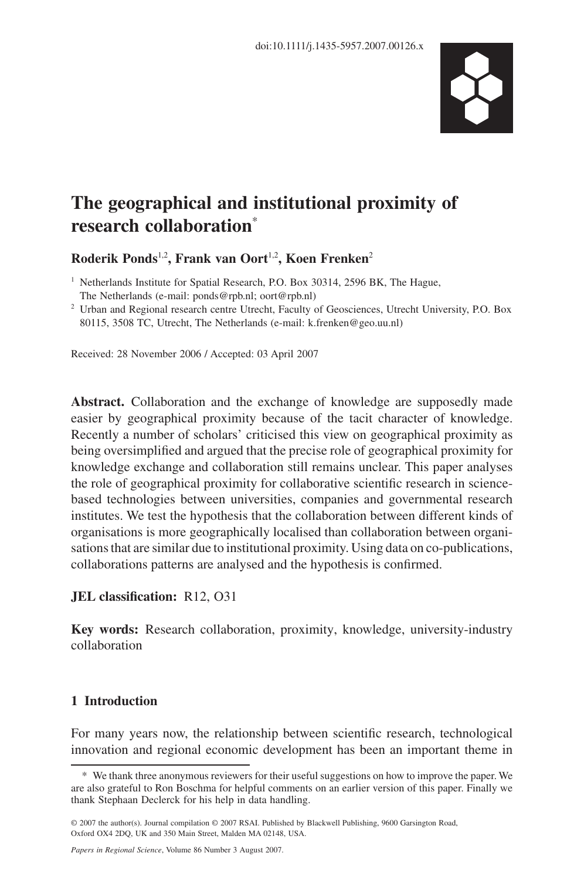

# **The geographical and institutional proximity of research collaboration**\*

**Roderik Ponds**1,2**, Frank van Oort**1,2**, Koen Frenken**<sup>2</sup>

<sup>1</sup> Netherlands Institute for Spatial Research, P.O. Box 30314, 2596 BK, The Hague, The Netherlands (e-mail: [ponds@rpb.nl;](mailto:ponds@rpb.nl) [oort@rpb.nl\)](mailto:oort@rpb.nl)

<sup>2</sup> Urban and Regional research centre Utrecht, Faculty of Geosciences, Utrecht University, P.O. Box 80115, 3508 TC, Utrecht, The Netherlands (e-mail: k[.frenken@geo.uu.nl\)](mailto:frenken@geo.uu.nl)

Received: 28 November 2006 / Accepted: 03 April 2007

**Abstract.** Collaboration and the exchange of knowledge are supposedly made easier by geographical proximity because of the tacit character of knowledge. Recently a number of scholars' criticised this view on geographical proximity as being oversimplified and argued that the precise role of geographical proximity for knowledge exchange and collaboration still remains unclear. This paper analyses the role of geographical proximity for collaborative scientific research in sciencebased technologies between universities, companies and governmental research institutes. We test the hypothesis that the collaboration between different kinds of organisations is more geographically localised than collaboration between organisations that are similar due to institutional proximity. Using data on co-publications, collaborations patterns are analysed and the hypothesis is confirmed.

### **JEL classification:** R12, O31

**Key words:** Research collaboration, proximity, knowledge, university-industry collaboration

## **1 Introduction**

For many years now, the relationship between scientific research, technological innovation and regional economic development has been an important theme in

<sup>\*</sup> We thank three anonymous reviewers for their useful suggestions on how to improve the paper. We are also grateful to Ron Boschma for helpful comments on an earlier version of this paper. Finally we thank Stephaan Declerck for his help in data handling.

<sup>© 2007</sup> the author(s). Journal compilation © 2007 RSAI. Published by Blackwell Publishing, 9600 Garsington Road, Oxford OX4 2DQ, UK and 350 Main Street, Malden MA 02148, USA.

*Papers in Regional Science*, Volume 86 Number 3 August 2007.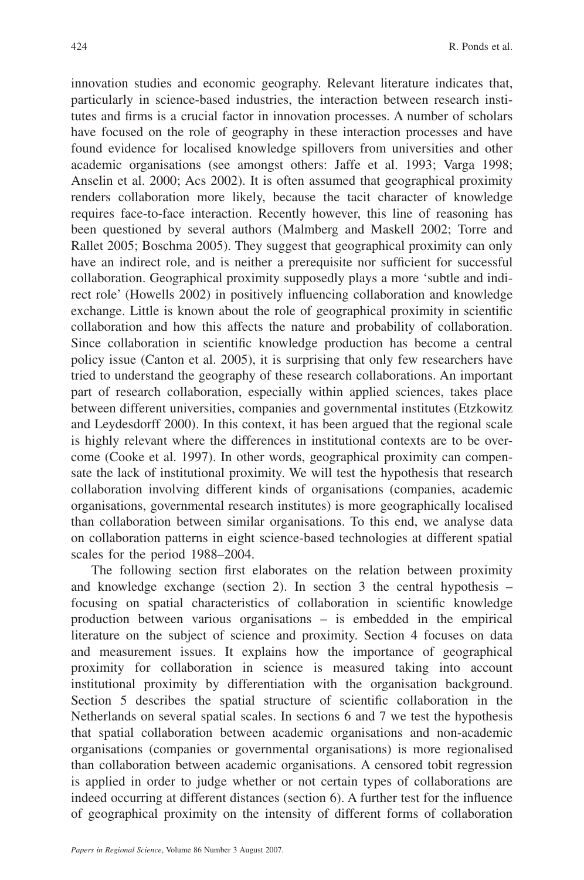innovation studies and economic geography. Relevant literature indicates that, particularly in science-based industries, the interaction between research institutes and firms is a crucial factor in innovation processes. A number of scholars have focused on the role of geography in these interaction processes and have found evidence for localised knowledge spillovers from universities and other academic organisations (see amongst others: Jaffe et al. 1993; Varga 1998; Anselin et al. 2000; Acs 2002). It is often assumed that geographical proximity renders collaboration more likely, because the tacit character of knowledge requires face-to-face interaction. Recently however, this line of reasoning has been questioned by several authors (Malmberg and Maskell 2002; Torre and Rallet 2005; Boschma 2005). They suggest that geographical proximity can only have an indirect role, and is neither a prerequisite nor sufficient for successful collaboration. Geographical proximity supposedly plays a more 'subtle and indirect role' (Howells 2002) in positively influencing collaboration and knowledge exchange. Little is known about the role of geographical proximity in scientific collaboration and how this affects the nature and probability of collaboration. Since collaboration in scientific knowledge production has become a central policy issue (Canton et al. 2005), it is surprising that only few researchers have tried to understand the geography of these research collaborations. An important part of research collaboration, especially within applied sciences, takes place between different universities, companies and governmental institutes (Etzkowitz and Leydesdorff 2000). In this context, it has been argued that the regional scale is highly relevant where the differences in institutional contexts are to be overcome (Cooke et al. 1997). In other words, geographical proximity can compensate the lack of institutional proximity. We will test the hypothesis that research collaboration involving different kinds of organisations (companies, academic organisations, governmental research institutes) is more geographically localised than collaboration between similar organisations. To this end, we analyse data on collaboration patterns in eight science-based technologies at different spatial scales for the period 1988–2004.

The following section first elaborates on the relation between proximity and knowledge exchange (section 2). In section 3 the central hypothesis – focusing on spatial characteristics of collaboration in scientific knowledge production between various organisations – is embedded in the empirical literature on the subject of science and proximity. Section 4 focuses on data and measurement issues. It explains how the importance of geographical proximity for collaboration in science is measured taking into account institutional proximity by differentiation with the organisation background. Section 5 describes the spatial structure of scientific collaboration in the Netherlands on several spatial scales. In sections 6 and 7 we test the hypothesis that spatial collaboration between academic organisations and non-academic organisations (companies or governmental organisations) is more regionalised than collaboration between academic organisations. A censored tobit regression is applied in order to judge whether or not certain types of collaborations are indeed occurring at different distances (section 6). A further test for the influence of geographical proximity on the intensity of different forms of collaboration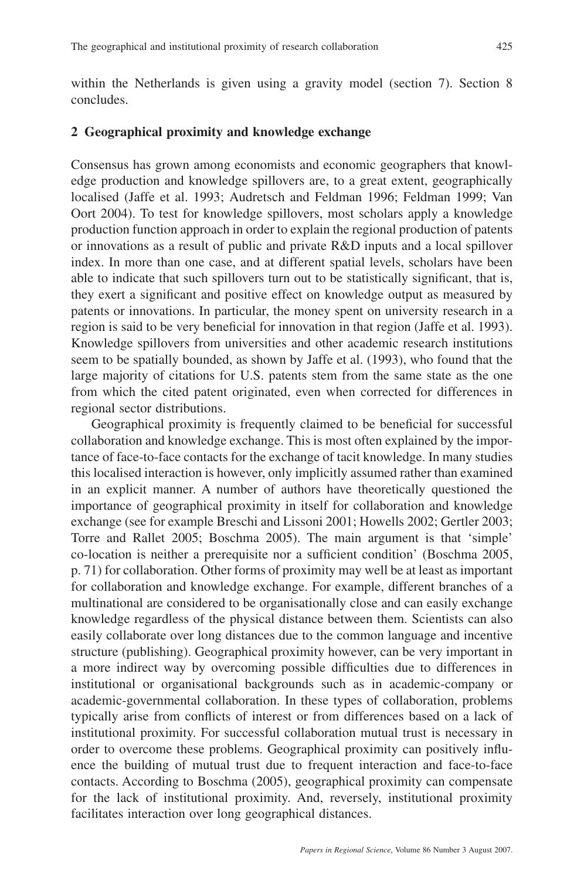within the Netherlands is given using a gravity model (section 7). Section 8 concludes.

## **2 Geographical proximity and knowledge exchange**

Consensus has grown among economists and economic geographers that knowledge production and knowledge spillovers are, to a great extent, geographically localised (Jaffe et al. 1993; Audretsch and Feldman 1996; Feldman 1999; Van Oort 2004). To test for knowledge spillovers, most scholars apply a knowledge production function approach in order to explain the regional production of patents or innovations as a result of public and private R&D inputs and a local spillover index. In more than one case, and at different spatial levels, scholars have been able to indicate that such spillovers turn out to be statistically significant, that is, they exert a significant and positive effect on knowledge output as measured by patents or innovations. In particular, the money spent on university research in a region is said to be very beneficial for innovation in that region (Jaffe et al. 1993). Knowledge spillovers from universities and other academic research institutions seem to be spatially bounded, as shown by Jaffe et al. (1993), who found that the large majority of citations for U.S. patents stem from the same state as the one from which the cited patent originated, even when corrected for differences in regional sector distributions.

Geographical proximity is frequently claimed to be beneficial for successful collaboration and knowledge exchange. This is most often explained by the importance of face-to-face contacts for the exchange of tacit knowledge. In many studies this localised interaction is however, only implicitly assumed rather than examined in an explicit manner. A number of authors have theoretically questioned the importance of geographical proximity in itself for collaboration and knowledge exchange (see for example Breschi and Lissoni 2001; Howells 2002; Gertler 2003; Torre and Rallet 2005; Boschma 2005). The main argument is that 'simple' co-location is neither a prerequisite nor a sufficient condition' (Boschma 2005, p. 71) for collaboration. Other forms of proximity may well be at least as important for collaboration and knowledge exchange. For example, different branches of a multinational are considered to be organisationally close and can easily exchange knowledge regardless of the physical distance between them. Scientists can also easily collaborate over long distances due to the common language and incentive structure (publishing). Geographical proximity however, can be very important in a more indirect way by overcoming possible difficulties due to differences in institutional or organisational backgrounds such as in academic-company or academic-governmental collaboration. In these types of collaboration, problems typically arise from conflicts of interest or from differences based on a lack of institutional proximity. For successful collaboration mutual trust is necessary in order to overcome these problems. Geographical proximity can positively influence the building of mutual trust due to frequent interaction and face-to-face contacts. According to Boschma (2005), geographical proximity can compensate for the lack of institutional proximity. And, reversely, institutional proximity facilitates interaction over long geographical distances.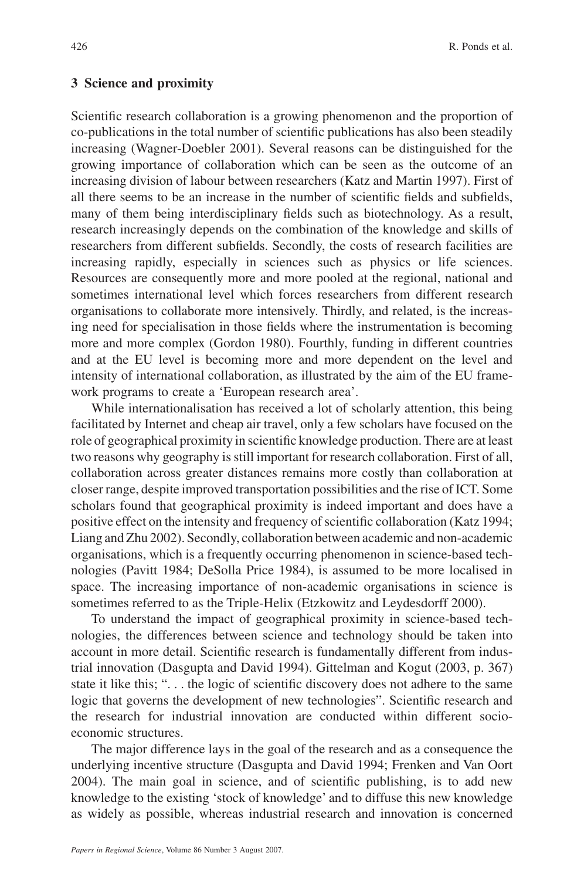#### **3 Science and proximity**

Scientific research collaboration is a growing phenomenon and the proportion of co-publications in the total number of scientific publications has also been steadily increasing (Wagner-Doebler 2001). Several reasons can be distinguished for the growing importance of collaboration which can be seen as the outcome of an increasing division of labour between researchers (Katz and Martin 1997). First of all there seems to be an increase in the number of scientific fields and subfields, many of them being interdisciplinary fields such as biotechnology. As a result, research increasingly depends on the combination of the knowledge and skills of researchers from different subfields. Secondly, the costs of research facilities are increasing rapidly, especially in sciences such as physics or life sciences. Resources are consequently more and more pooled at the regional, national and sometimes international level which forces researchers from different research organisations to collaborate more intensively. Thirdly, and related, is the increasing need for specialisation in those fields where the instrumentation is becoming more and more complex (Gordon 1980). Fourthly, funding in different countries and at the EU level is becoming more and more dependent on the level and intensity of international collaboration, as illustrated by the aim of the EU framework programs to create a 'European research area'.

While internationalisation has received a lot of scholarly attention, this being facilitated by Internet and cheap air travel, only a few scholars have focused on the role of geographical proximity in scientific knowledge production. There are at least two reasons why geography is still important for research collaboration. First of all, collaboration across greater distances remains more costly than collaboration at closer range, despite improved transportation possibilities and the rise of ICT. Some scholars found that geographical proximity is indeed important and does have a positive effect on the intensity and frequency of scientific collaboration (Katz 1994; Liang and Zhu 2002). Secondly, collaboration between academic and non-academic organisations, which is a frequently occurring phenomenon in science-based technologies (Pavitt 1984; DeSolla Price 1984), is assumed to be more localised in space. The increasing importance of non-academic organisations in science is sometimes referred to as the Triple-Helix (Etzkowitz and Leydesdorff 2000).

To understand the impact of geographical proximity in science-based technologies, the differences between science and technology should be taken into account in more detail. Scientific research is fundamentally different from industrial innovation (Dasgupta and David 1994). Gittelman and Kogut (2003, p. 367) state it like this; ". . . the logic of scientific discovery does not adhere to the same logic that governs the development of new technologies". Scientific research and the research for industrial innovation are conducted within different socioeconomic structures.

The major difference lays in the goal of the research and as a consequence the underlying incentive structure (Dasgupta and David 1994; Frenken and Van Oort 2004). The main goal in science, and of scientific publishing, is to add new knowledge to the existing 'stock of knowledge' and to diffuse this new knowledge as widely as possible, whereas industrial research and innovation is concerned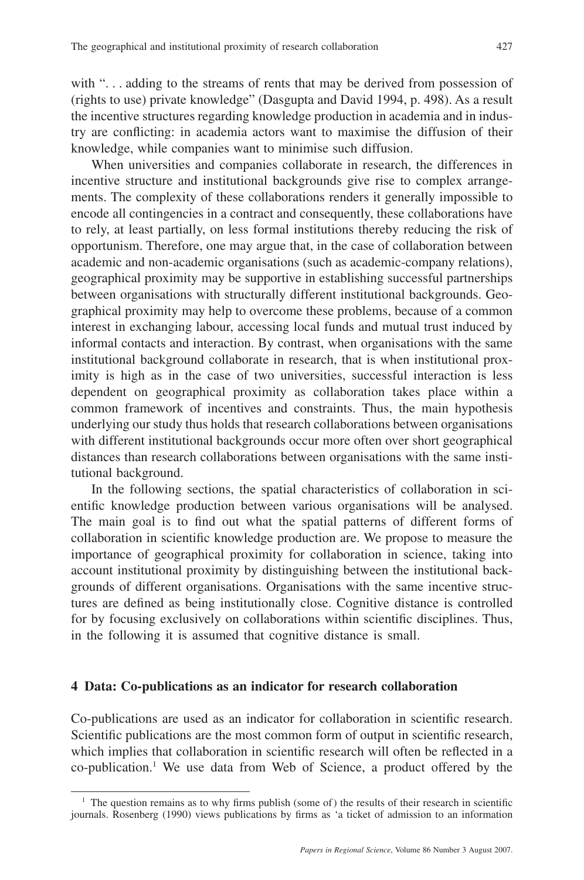with "... adding to the streams of rents that may be derived from possession of (rights to use) private knowledge" (Dasgupta and David 1994, p. 498). As a result the incentive structures regarding knowledge production in academia and in industry are conflicting: in academia actors want to maximise the diffusion of their knowledge, while companies want to minimise such diffusion.

When universities and companies collaborate in research, the differences in incentive structure and institutional backgrounds give rise to complex arrangements. The complexity of these collaborations renders it generally impossible to encode all contingencies in a contract and consequently, these collaborations have to rely, at least partially, on less formal institutions thereby reducing the risk of opportunism. Therefore, one may argue that, in the case of collaboration between academic and non-academic organisations (such as academic-company relations), geographical proximity may be supportive in establishing successful partnerships between organisations with structurally different institutional backgrounds. Geographical proximity may help to overcome these problems, because of a common interest in exchanging labour, accessing local funds and mutual trust induced by informal contacts and interaction. By contrast, when organisations with the same institutional background collaborate in research, that is when institutional proximity is high as in the case of two universities, successful interaction is less dependent on geographical proximity as collaboration takes place within a common framework of incentives and constraints. Thus, the main hypothesis underlying our study thus holds that research collaborations between organisations with different institutional backgrounds occur more often over short geographical distances than research collaborations between organisations with the same institutional background.

In the following sections, the spatial characteristics of collaboration in scientific knowledge production between various organisations will be analysed. The main goal is to find out what the spatial patterns of different forms of collaboration in scientific knowledge production are. We propose to measure the importance of geographical proximity for collaboration in science, taking into account institutional proximity by distinguishing between the institutional backgrounds of different organisations. Organisations with the same incentive structures are defined as being institutionally close. Cognitive distance is controlled for by focusing exclusively on collaborations within scientific disciplines. Thus, in the following it is assumed that cognitive distance is small.

#### **4 Data: Co-publications as an indicator for research collaboration**

Co-publications are used as an indicator for collaboration in scientific research. Scientific publications are the most common form of output in scientific research, which implies that collaboration in scientific research will often be reflected in a co-publication.1 We use data from Web of Science, a product offered by the

 $1$  The question remains as to why firms publish (some of) the results of their research in scientific journals. Rosenberg (1990) views publications by firms as 'a ticket of admission to an information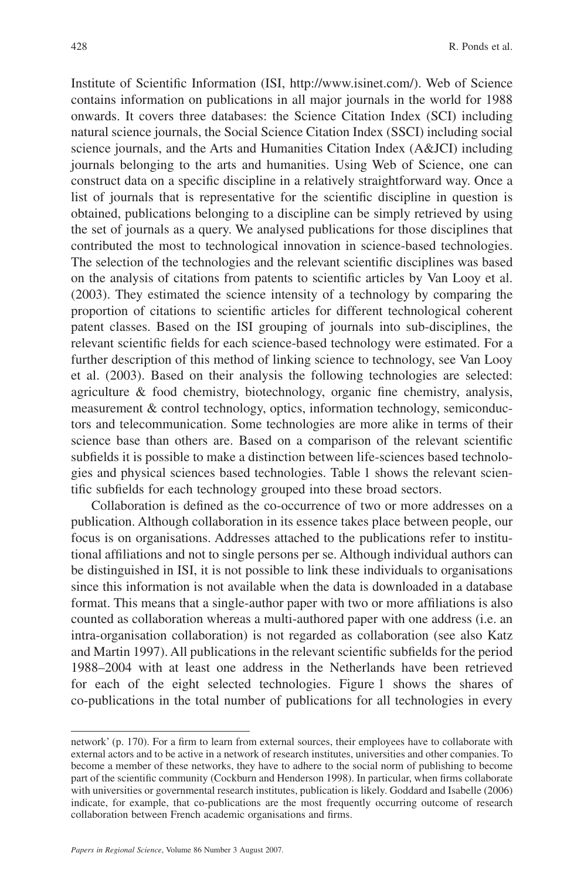Institute of Scientific Information (ISI, [http://www.isinet.co](http://www.isinet.com)m/). Web of Science contains information on publications in all major journals in the world for 1988 onwards. It covers three databases: the Science Citation Index (SCI) including natural science journals, the Social Science Citation Index (SSCI) including social science journals, and the Arts and Humanities Citation Index (A&JCI) including journals belonging to the arts and humanities. Using Web of Science, one can construct data on a specific discipline in a relatively straightforward way. Once a list of journals that is representative for the scientific discipline in question is obtained, publications belonging to a discipline can be simply retrieved by using the set of journals as a query. We analysed publications for those disciplines that contributed the most to technological innovation in science-based technologies. The selection of the technologies and the relevant scientific disciplines was based on the analysis of citations from patents to scientific articles by Van Looy et al. (2003). They estimated the science intensity of a technology by comparing the proportion of citations to scientific articles for different technological coherent patent classes. Based on the ISI grouping of journals into sub-disciplines, the relevant scientific fields for each science-based technology were estimated. For a further description of this method of linking science to technology, see Van Looy et al. (2003). Based on their analysis the following technologies are selected: agriculture & food chemistry, biotechnology, organic fine chemistry, analysis, measurement & control technology, optics, information technology, semiconductors and telecommunication. Some technologies are more alike in terms of their science base than others are. Based on a comparison of the relevant scientific subfields it is possible to make a distinction between life-sciences based technologies and physical sciences based technologies. Table 1 shows the relevant scientific subfields for each technology grouped into these broad sectors.

Collaboration is defined as the co-occurrence of two or more addresses on a publication. Although collaboration in its essence takes place between people, our focus is on organisations. Addresses attached to the publications refer to institutional affiliations and not to single persons per se. Although individual authors can be distinguished in ISI, it is not possible to link these individuals to organisations since this information is not available when the data is downloaded in a database format. This means that a single-author paper with two or more affiliations is also counted as collaboration whereas a multi-authored paper with one address (i.e. an intra-organisation collaboration) is not regarded as collaboration (see also Katz and Martin 1997). All publications in the relevant scientific subfields for the period 1988–2004 with at least one address in the Netherlands have been retrieved for each of the eight selected technologies. Figure 1 shows the shares of co-publications in the total number of publications for all technologies in every

network' (p. 170). For a firm to learn from external sources, their employees have to collaborate with external actors and to be active in a network of research institutes, universities and other companies. To become a member of these networks, they have to adhere to the social norm of publishing to become part of the scientific community (Cockburn and Henderson 1998). In particular, when firms collaborate with universities or governmental research institutes, publication is likely. Goddard and Isabelle (2006) indicate, for example, that co-publications are the most frequently occurring outcome of research collaboration between French academic organisations and firms.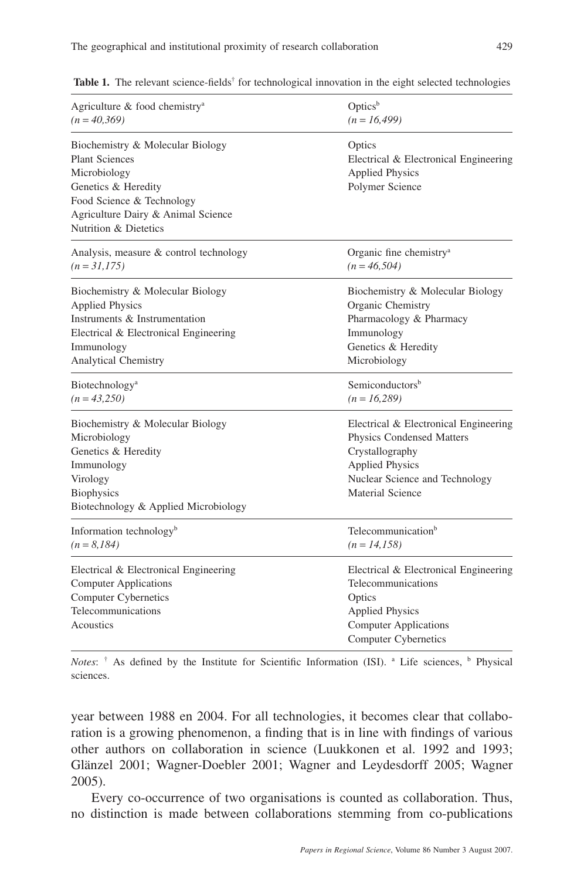| Agriculture & food chemistry <sup>a</sup>                                                                                                                                                    | Optics <sup>b</sup>                                                                                                                                                          |
|----------------------------------------------------------------------------------------------------------------------------------------------------------------------------------------------|------------------------------------------------------------------------------------------------------------------------------------------------------------------------------|
| $(n = 40,369)$                                                                                                                                                                               | $(n = 16,499)$                                                                                                                                                               |
| Biochemistry & Molecular Biology<br><b>Plant Sciences</b><br>Microbiology<br>Genetics & Heredity<br>Food Science & Technology<br>Agriculture Dairy & Animal Science<br>Nutrition & Dietetics | Optics<br>Electrical & Electronical Engineering<br><b>Applied Physics</b><br>Polymer Science                                                                                 |
| Analysis, measure & control technology                                                                                                                                                       | Organic fine chemistry <sup>a</sup>                                                                                                                                          |
| $(n = 31, 175)$                                                                                                                                                                              | $(n = 46, 504)$                                                                                                                                                              |
| Biochemistry & Molecular Biology                                                                                                                                                             | Biochemistry & Molecular Biology                                                                                                                                             |
| <b>Applied Physics</b>                                                                                                                                                                       | Organic Chemistry                                                                                                                                                            |
| Instruments & Instrumentation                                                                                                                                                                | Pharmacology & Pharmacy                                                                                                                                                      |
| Electrical & Electronical Engineering                                                                                                                                                        | Immunology                                                                                                                                                                   |
| Immunology                                                                                                                                                                                   | Genetics & Heredity                                                                                                                                                          |
| <b>Analytical Chemistry</b>                                                                                                                                                                  | Microbiology                                                                                                                                                                 |
| Biotechnology <sup>a</sup>                                                                                                                                                                   | Semiconductors <sup>b</sup>                                                                                                                                                  |
| $(n = 43,250)$                                                                                                                                                                               | $(n = 16,289)$                                                                                                                                                               |
| Biochemistry & Molecular Biology<br>Microbiology<br>Genetics & Heredity<br>Immunology<br>Virology<br><b>Biophysics</b><br>Biotechnology & Applied Microbiology                               | Electrical & Electronical Engineering<br><b>Physics Condensed Matters</b><br>Crystallography<br><b>Applied Physics</b><br>Nuclear Science and Technology<br>Material Science |
| Information technology <sup>b</sup>                                                                                                                                                          | Telecommunication <sup>b</sup>                                                                                                                                               |
| $(n = 8.184)$                                                                                                                                                                                | $(n = 14, 158)$                                                                                                                                                              |
| Electrical & Electronical Engineering<br><b>Computer Applications</b><br><b>Computer Cybernetics</b><br>Telecommunications<br>Acoustics                                                      | Electrical & Electronical Engineering<br>Telecommunications<br>Optics<br><b>Applied Physics</b><br><b>Computer Applications</b><br><b>Computer Cybernetics</b>               |

Table 1. The relevant science-fields<sup>†</sup> for technological innovation in the eight selected technologies

*Notes*: † As defined by the Institute for Scientific Information (ISI). <sup>a</sup> Life sciences, <sup>b</sup> Physical sciences.

year between 1988 en 2004. For all technologies, it becomes clear that collaboration is a growing phenomenon, a finding that is in line with findings of various other authors on collaboration in science (Luukkonen et al. 1992 and 1993; Glänzel 2001; Wagner-Doebler 2001; Wagner and Leydesdorff 2005; Wagner 2005).

Every co-occurrence of two organisations is counted as collaboration. Thus, no distinction is made between collaborations stemming from co-publications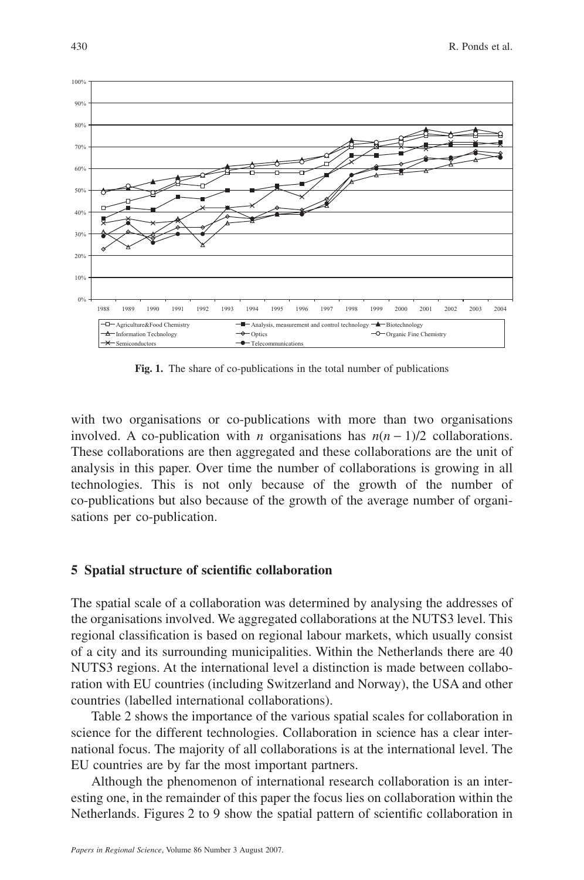

**Fig. 1.** The share of co-publications in the total number of publications

with two organisations or co-publications with more than two organisations involved. A co-publication with *n* organisations has  $n(n-1)/2$  collaborations. These collaborations are then aggregated and these collaborations are the unit of analysis in this paper. Over time the number of collaborations is growing in all technologies. This is not only because of the growth of the number of co-publications but also because of the growth of the average number of organisations per co-publication.

#### **5 Spatial structure of scientific collaboration**

The spatial scale of a collaboration was determined by analysing the addresses of the organisations involved. We aggregated collaborations at the NUTS3 level. This regional classification is based on regional labour markets, which usually consist of a city and its surrounding municipalities. Within the Netherlands there are 40 NUTS3 regions. At the international level a distinction is made between collaboration with EU countries (including Switzerland and Norway), the USA and other countries (labelled international collaborations).

Table 2 shows the importance of the various spatial scales for collaboration in science for the different technologies. Collaboration in science has a clear international focus. The majority of all collaborations is at the international level. The EU countries are by far the most important partners.

Although the phenomenon of international research collaboration is an interesting one, in the remainder of this paper the focus lies on collaboration within the Netherlands. Figures 2 to 9 show the spatial pattern of scientific collaboration in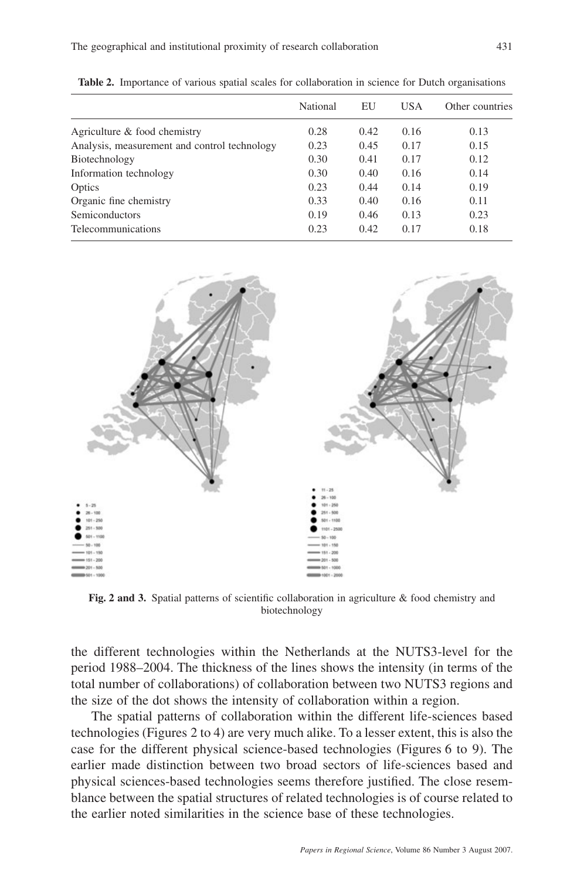|                                              | National | EU   | <b>USA</b> | Other countries |
|----------------------------------------------|----------|------|------------|-----------------|
| Agriculture & food chemistry                 | 0.28     | 0.42 | 0.16       | 0.13            |
| Analysis, measurement and control technology | 0.23     | 0.45 | 0.17       | 0.15            |
| Biotechnology                                | 0.30     | 0.41 | 0.17       | 0.12            |
| Information technology                       | 0.30     | 0.40 | 0.16       | 0.14            |
| Optics                                       | 0.23     | 0.44 | 0.14       | 0.19            |
| Organic fine chemistry                       | 0.33     | 0.40 | 0.16       | 0.11            |
| Semiconductors                               | 0.19     | 0.46 | 0.13       | 0.23            |
| Telecommunications                           | 0.23     | 0.42 | 0.17       | 0.18            |

**Table 2.** Importance of various spatial scales for collaboration in science for Dutch organisations



**Fig. 2 and 3.** Spatial patterns of scientific collaboration in agriculture & food chemistry and biotechnology

the different technologies within the Netherlands at the NUTS3-level for the period 1988–2004. The thickness of the lines shows the intensity (in terms of the total number of collaborations) of collaboration between two NUTS3 regions and the size of the dot shows the intensity of collaboration within a region.

The spatial patterns of collaboration within the different life-sciences based technologies (Figures 2 to 4) are very much alike. To a lesser extent, this is also the case for the different physical science-based technologies (Figures 6 to 9). The earlier made distinction between two broad sectors of life-sciences based and physical sciences-based technologies seems therefore justified. The close resemblance between the spatial structures of related technologies is of course related to the earlier noted similarities in the science base of these technologies.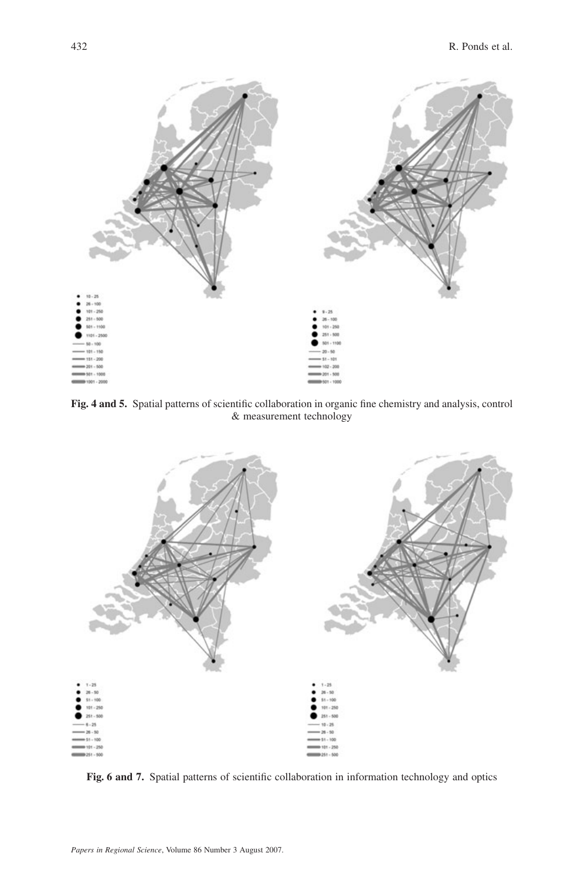

**Fig. 4 and 5.** Spatial patterns of scientific collaboration in organic fine chemistry and analysis, control & measurement technology



**Fig. 6 and 7.** Spatial patterns of scientific collaboration in information technology and optics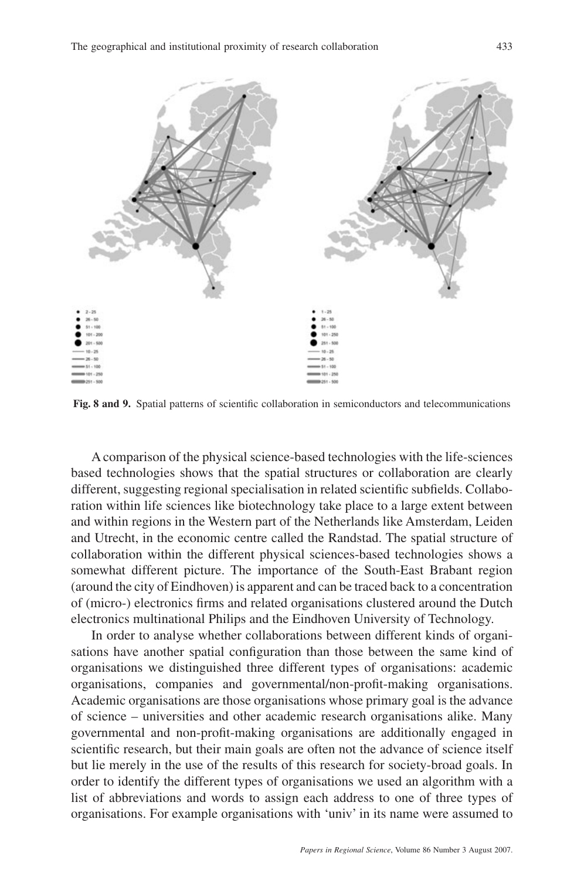

**Fig. 8 and 9.** Spatial patterns of scientific collaboration in semiconductors and telecommunications

A comparison of the physical science-based technologies with the life-sciences based technologies shows that the spatial structures or collaboration are clearly different, suggesting regional specialisation in related scientific subfields. Collaboration within life sciences like biotechnology take place to a large extent between and within regions in the Western part of the Netherlands like Amsterdam, Leiden and Utrecht, in the economic centre called the Randstad. The spatial structure of collaboration within the different physical sciences-based technologies shows a somewhat different picture. The importance of the South-East Brabant region (around the city of Eindhoven) is apparent and can be traced back to a concentration of (micro-) electronics firms and related organisations clustered around the Dutch electronics multinational Philips and the Eindhoven University of Technology.

In order to analyse whether collaborations between different kinds of organisations have another spatial configuration than those between the same kind of organisations we distinguished three different types of organisations: academic organisations, companies and governmental/non-profit-making organisations. Academic organisations are those organisations whose primary goal is the advance of science – universities and other academic research organisations alike. Many governmental and non-profit-making organisations are additionally engaged in scientific research, but their main goals are often not the advance of science itself but lie merely in the use of the results of this research for society-broad goals. In order to identify the different types of organisations we used an algorithm with a list of abbreviations and words to assign each address to one of three types of organisations. For example organisations with 'univ' in its name were assumed to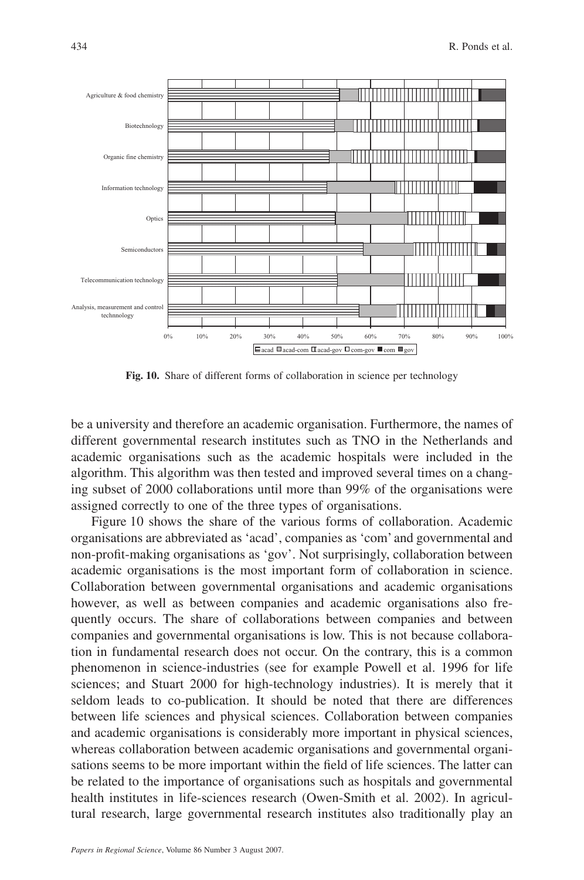

**Fig. 10.** Share of different forms of collaboration in science per technology

be a university and therefore an academic organisation. Furthermore, the names of different governmental research institutes such as TNO in the Netherlands and academic organisations such as the academic hospitals were included in the algorithm. This algorithm was then tested and improved several times on a changing subset of 2000 collaborations until more than 99% of the organisations were assigned correctly to one of the three types of organisations.

Figure 10 shows the share of the various forms of collaboration. Academic organisations are abbreviated as 'acad', companies as 'com' and governmental and non-profit-making organisations as 'gov'. Not surprisingly, collaboration between academic organisations is the most important form of collaboration in science. Collaboration between governmental organisations and academic organisations however, as well as between companies and academic organisations also frequently occurs. The share of collaborations between companies and between companies and governmental organisations is low. This is not because collaboration in fundamental research does not occur. On the contrary, this is a common phenomenon in science-industries (see for example Powell et al. 1996 for life sciences; and Stuart 2000 for high-technology industries). It is merely that it seldom leads to co-publication. It should be noted that there are differences between life sciences and physical sciences. Collaboration between companies and academic organisations is considerably more important in physical sciences, whereas collaboration between academic organisations and governmental organisations seems to be more important within the field of life sciences. The latter can be related to the importance of organisations such as hospitals and governmental health institutes in life-sciences research (Owen-Smith et al. 2002). In agricultural research, large governmental research institutes also traditionally play an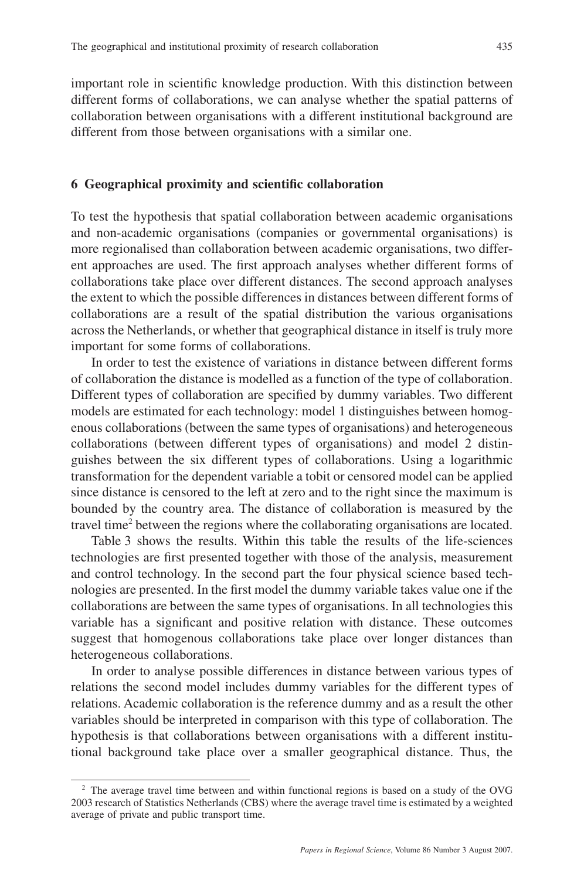important role in scientific knowledge production. With this distinction between different forms of collaborations, we can analyse whether the spatial patterns of collaboration between organisations with a different institutional background are different from those between organisations with a similar one.

#### **6 Geographical proximity and scientific collaboration**

To test the hypothesis that spatial collaboration between academic organisations and non-academic organisations (companies or governmental organisations) is more regionalised than collaboration between academic organisations, two different approaches are used. The first approach analyses whether different forms of collaborations take place over different distances. The second approach analyses the extent to which the possible differences in distances between different forms of collaborations are a result of the spatial distribution the various organisations across the Netherlands, or whether that geographical distance in itself is truly more important for some forms of collaborations.

In order to test the existence of variations in distance between different forms of collaboration the distance is modelled as a function of the type of collaboration. Different types of collaboration are specified by dummy variables. Two different models are estimated for each technology: model 1 distinguishes between homogenous collaborations (between the same types of organisations) and heterogeneous collaborations (between different types of organisations) and model 2 distinguishes between the six different types of collaborations. Using a logarithmic transformation for the dependent variable a tobit or censored model can be applied since distance is censored to the left at zero and to the right since the maximum is bounded by the country area. The distance of collaboration is measured by the travel time2 between the regions where the collaborating organisations are located.

Table 3 shows the results. Within this table the results of the life-sciences technologies are first presented together with those of the analysis, measurement and control technology. In the second part the four physical science based technologies are presented. In the first model the dummy variable takes value one if the collaborations are between the same types of organisations. In all technologies this variable has a significant and positive relation with distance. These outcomes suggest that homogenous collaborations take place over longer distances than heterogeneous collaborations.

In order to analyse possible differences in distance between various types of relations the second model includes dummy variables for the different types of relations. Academic collaboration is the reference dummy and as a result the other variables should be interpreted in comparison with this type of collaboration. The hypothesis is that collaborations between organisations with a different institutional background take place over a smaller geographical distance. Thus, the

<sup>&</sup>lt;sup>2</sup> The average travel time between and within functional regions is based on a study of the OVG 2003 research of Statistics Netherlands (CBS) where the average travel time is estimated by a weighted average of private and public transport time.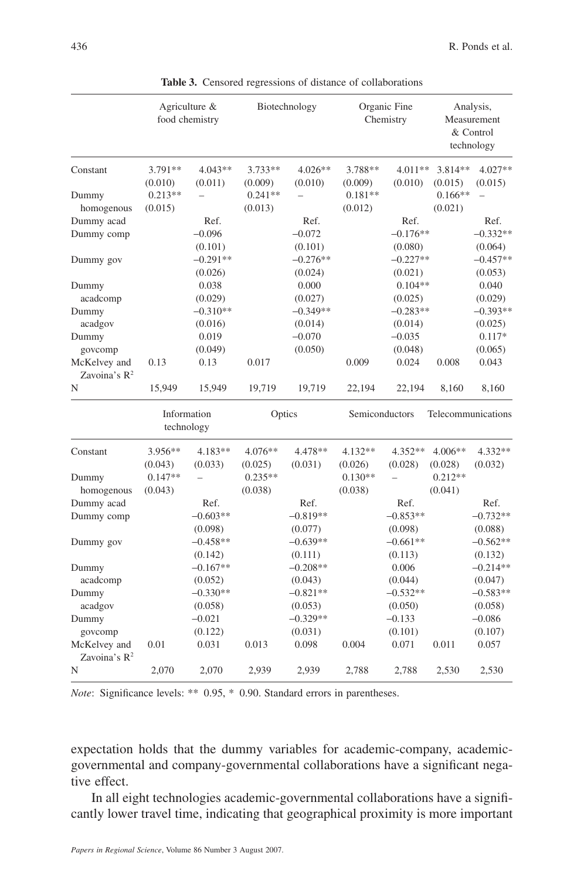|                                          | Agriculture &<br>food chemistry |                                                | Biotechnology                   |                            | Organic Fine<br>Chemistry       |                    | Analysis,<br>Measurement<br>& Control<br>technology |                                |
|------------------------------------------|---------------------------------|------------------------------------------------|---------------------------------|----------------------------|---------------------------------|--------------------|-----------------------------------------------------|--------------------------------|
| Constant<br>Dummy                        | 3.791**<br>(0.010)<br>$0.213**$ | 4.043**<br>(0.011)<br>$\overline{\phantom{0}}$ | 3.733**<br>(0.009)<br>$0.241**$ | $4.026**$<br>(0.010)<br>L. | 3.788**<br>(0.009)<br>$0.181**$ | 4.011**<br>(0.010) | 3.814**<br>(0.015)<br>$0.166**$                     | 4.027**<br>(0.015)<br>$\equiv$ |
| homogenous                               | (0.015)                         |                                                | (0.013)                         |                            | (0.012)                         |                    | (0.021)                                             |                                |
| Dummy acad                               |                                 | Ref.                                           |                                 | Ref.                       |                                 | Ref.               |                                                     | Ref.                           |
| Dummy comp                               |                                 | $-0.096$                                       |                                 | $-0.072$                   |                                 | $-0.176**$         |                                                     | $-0.332**$                     |
|                                          |                                 | (0.101)                                        |                                 | (0.101)                    |                                 | (0.080)            |                                                     | (0.064)                        |
| Dummy gov                                |                                 | $-0.291**$                                     |                                 | $-0.276**$                 |                                 | $-0.227**$         |                                                     | $-0.457**$                     |
|                                          |                                 | (0.026)                                        |                                 | (0.024)                    |                                 | (0.021)            |                                                     | (0.053)                        |
| Dummy                                    |                                 | 0.038                                          |                                 | 0.000                      |                                 | $0.104**$          |                                                     | 0.040                          |
| acadcomp                                 |                                 | (0.029)                                        |                                 | (0.027)                    |                                 | (0.025)            |                                                     | (0.029)                        |
| Dummy                                    |                                 | $-0.310**$                                     |                                 | $-0.349**$                 |                                 | $-0.283**$         |                                                     | $-0.393**$                     |
| acadgov                                  |                                 | (0.016)                                        |                                 | (0.014)                    |                                 | (0.014)            |                                                     | (0.025)                        |
| Dummy                                    |                                 | 0.019                                          |                                 | $-0.070$                   |                                 | $-0.035$           |                                                     | $0.117*$                       |
| govcomp                                  |                                 | (0.049)                                        |                                 | (0.050)                    |                                 | (0.048)            |                                                     | (0.065)                        |
| McKelvey and<br>Zavoina's $\mathbb{R}^2$ | 0.13                            | 0.13                                           | 0.017                           |                            | 0.009                           | 0.024              | 0.008                                               | 0.043                          |
| N                                        | 15,949                          | 15,949                                         | 19,719                          | 19,719                     | 22,194                          | 22,194             | 8,160                                               | 8,160                          |
|                                          |                                 | Information<br>technology                      |                                 | Optics                     | Semiconductors                  |                    | Telecommunications                                  |                                |
| Constant                                 | 3.956**                         | 4.183**                                        | 4.076**                         | 4.478**                    | 4.132**                         | 4.352**            | $4.006**$                                           | 4.332**                        |
|                                          | (0.043)<br>$0.147**$            | (0.033)                                        | (0.025)<br>$0.235**$            | (0.031)                    | (0.026)<br>$0.130**$            | (0.028)            | (0.028)<br>$0.212**$                                | (0.032)                        |
| Dummy<br>homogenous                      | (0.043)                         |                                                | (0.038)                         |                            | (0.038)                         |                    | (0.041)                                             |                                |
| Dummy acad                               |                                 | Ref.                                           |                                 | Ref.                       |                                 | Ref.               |                                                     | Ref.                           |
| Dummy comp                               |                                 | $-0.603**$                                     |                                 | $-0.819**$                 |                                 | $-0.853**$         |                                                     | $-0.732**$                     |
|                                          |                                 | (0.098)                                        |                                 | (0.077)                    |                                 | (0.098)            |                                                     | (0.088)                        |
| Dummy gov                                |                                 | $-0.458**$                                     |                                 | $-0.639**$                 |                                 | $-0.661**$         |                                                     | $-0.562**$                     |
|                                          |                                 | (0.142)                                        |                                 | (0.111)                    |                                 | (0.113)            |                                                     | (0.132)                        |
| Dummy                                    |                                 | $-0.167**$                                     |                                 | $-0.208**$                 |                                 | 0.006              |                                                     | $-0.214**$                     |
| acadcomp                                 |                                 | (0.052)                                        |                                 | (0.043)                    |                                 | (0.044)            |                                                     | (0.047)                        |
| Dummy                                    |                                 | $-0.330**$                                     |                                 | $-0.821**$                 |                                 | $-0.532**$         |                                                     | $-0.583**$                     |
| acadgov                                  |                                 | (0.058)                                        |                                 | (0.053)                    |                                 | (0.050)            |                                                     | (0.058)                        |
| Dummy                                    |                                 | $-0.021$                                       |                                 | $-0.329**$                 |                                 | $-0.133$           |                                                     | $-0.086$                       |
| govcomp                                  |                                 | (0.122)                                        |                                 | (0.031)                    |                                 | (0.101)            |                                                     | (0.107)                        |
| McKelvey and<br>Zavoina's $\mathbb{R}^2$ | 0.01                            | 0.031                                          | 0.013                           | 0.098                      | 0.004                           | 0.071              | 0.011                                               | 0.057                          |
| $\mathbf N$                              | 2,070                           | 2,070                                          | 2,939                           | 2,939                      | 2,788                           | 2,788              | 2,530                                               | 2,530                          |

**Table 3.** Censored regressions of distance of collaborations

*Note*: Significance levels: \*\* 0.95, \* 0.90. Standard errors in parentheses.

expectation holds that the dummy variables for academic-company, academicgovernmental and company-governmental collaborations have a significant negative effect.

In all eight technologies academic-governmental collaborations have a significantly lower travel time, indicating that geographical proximity is more important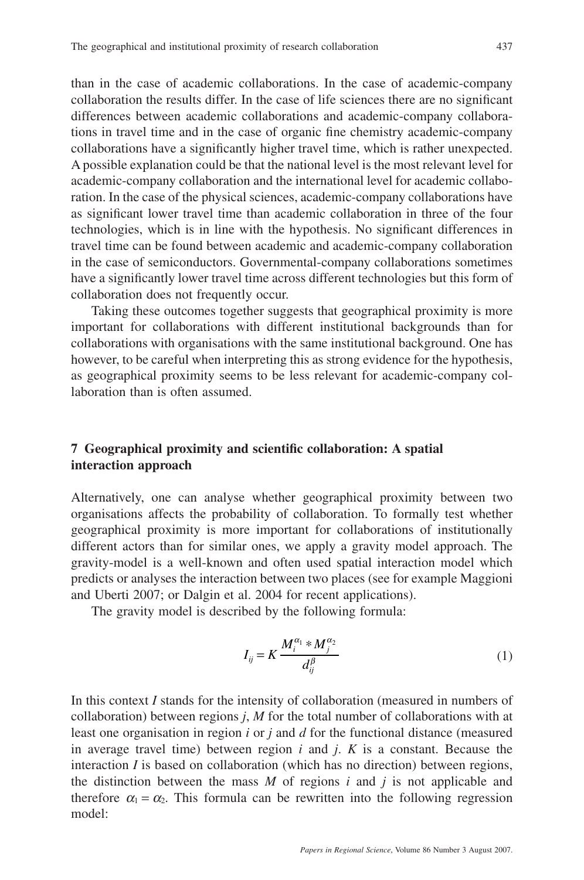than in the case of academic collaborations. In the case of academic-company collaboration the results differ. In the case of life sciences there are no significant differences between academic collaborations and academic-company collaborations in travel time and in the case of organic fine chemistry academic-company collaborations have a significantly higher travel time, which is rather unexpected. A possible explanation could be that the national level is the most relevant level for academic-company collaboration and the international level for academic collaboration. In the case of the physical sciences, academic-company collaborations have as significant lower travel time than academic collaboration in three of the four technologies, which is in line with the hypothesis. No significant differences in travel time can be found between academic and academic-company collaboration in the case of semiconductors. Governmental-company collaborations sometimes have a significantly lower travel time across different technologies but this form of collaboration does not frequently occur.

Taking these outcomes together suggests that geographical proximity is more important for collaborations with different institutional backgrounds than for collaborations with organisations with the same institutional background. One has however, to be careful when interpreting this as strong evidence for the hypothesis, as geographical proximity seems to be less relevant for academic-company collaboration than is often assumed.

# **7 Geographical proximity and scientific collaboration: A spatial interaction approach**

Alternatively, one can analyse whether geographical proximity between two organisations affects the probability of collaboration. To formally test whether geographical proximity is more important for collaborations of institutionally different actors than for similar ones, we apply a gravity model approach. The gravity-model is a well-known and often used spatial interaction model which predicts or analyses the interaction between two places (see for example Maggioni and Uberti 2007; or Dalgin et al. 2004 for recent applications).

The gravity model is described by the following formula:

$$
I_{ij} = K \frac{M_i^{\alpha_1} * M_j^{\alpha_2}}{d_i^{\beta}}
$$
 (1)

In this context *I* stands for the intensity of collaboration (measured in numbers of collaboration) between regions *j*, *M* for the total number of collaborations with at least one organisation in region *i* or *j* and *d* for the functional distance (measured in average travel time) between region *i* and *j*. *K* is a constant. Because the interaction *I* is based on collaboration (which has no direction) between regions, the distinction between the mass  $M$  of regions  $i$  and  $j$  is not applicable and therefore  $\alpha_1 = \alpha_2$ . This formula can be rewritten into the following regression model: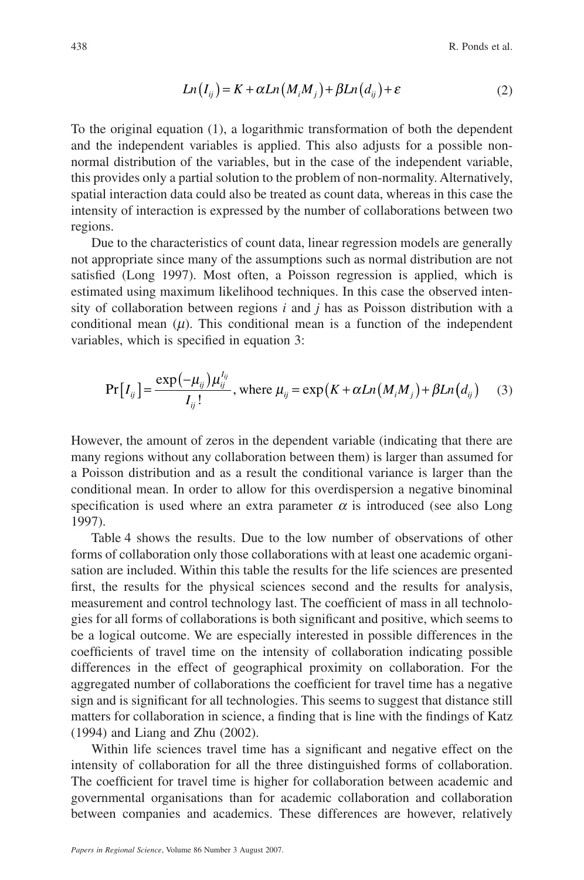$$
Ln(I_{ij}) = K + \alpha Ln(M_iM_j) + \beta Ln(d_{ij}) + \varepsilon
$$
\n(2)

To the original equation (1), a logarithmic transformation of both the dependent and the independent variables is applied. This also adjusts for a possible nonnormal distribution of the variables, but in the case of the independent variable, this provides only a partial solution to the problem of non-normality. Alternatively, spatial interaction data could also be treated as count data, whereas in this case the intensity of interaction is expressed by the number of collaborations between two regions.

Due to the characteristics of count data, linear regression models are generally not appropriate since many of the assumptions such as normal distribution are not satisfied (Long 1997). Most often, a Poisson regression is applied, which is estimated using maximum likelihood techniques. In this case the observed intensity of collaboration between regions *i* and *j* has as Poisson distribution with a conditional mean  $(\mu)$ . This conditional mean is a function of the independent variables, which is specified in equation 3:

$$
Pr[I_{ij}] = \frac{\exp(-\mu_{ij})\mu_{ij}^{I_{ij}}}{I_{ij}!}, \text{ where } \mu_{ij} = \exp(K + \alpha Ln(M_iM_j) + \beta Ln(d_{ij}) \quad (3)
$$

However, the amount of zeros in the dependent variable (indicating that there are many regions without any collaboration between them) is larger than assumed for a Poisson distribution and as a result the conditional variance is larger than the conditional mean. In order to allow for this overdispersion a negative binominal specification is used where an extra parameter  $\alpha$  is introduced (see also Long 1997).

Table 4 shows the results. Due to the low number of observations of other forms of collaboration only those collaborations with at least one academic organisation are included. Within this table the results for the life sciences are presented first, the results for the physical sciences second and the results for analysis, measurement and control technology last. The coefficient of mass in all technologies for all forms of collaborations is both significant and positive, which seems to be a logical outcome. We are especially interested in possible differences in the coefficients of travel time on the intensity of collaboration indicating possible differences in the effect of geographical proximity on collaboration. For the aggregated number of collaborations the coefficient for travel time has a negative sign and is significant for all technologies. This seems to suggest that distance still matters for collaboration in science, a finding that is line with the findings of Katz (1994) and Liang and Zhu (2002).

Within life sciences travel time has a significant and negative effect on the intensity of collaboration for all the three distinguished forms of collaboration. The coefficient for travel time is higher for collaboration between academic and governmental organisations than for academic collaboration and collaboration between companies and academics. These differences are however, relatively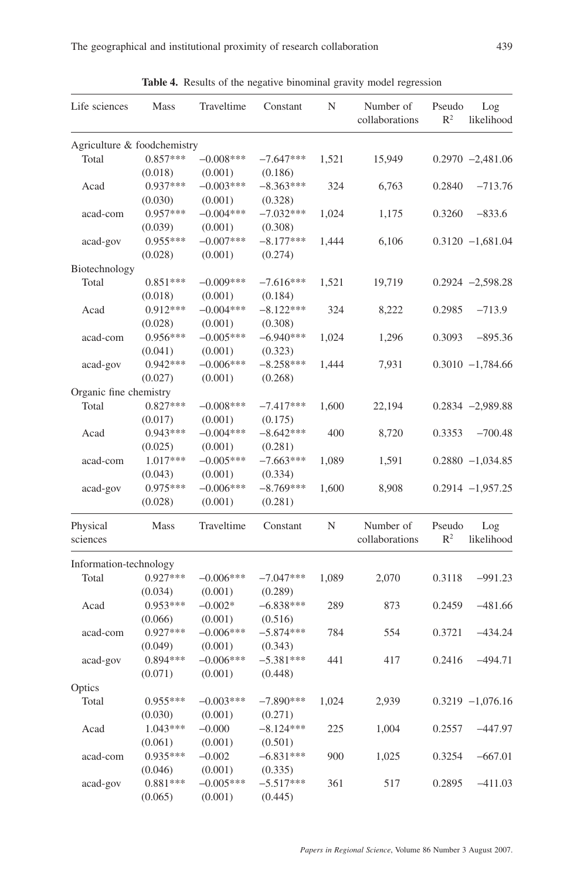| Life sciences               | Mass       | Traveltime  | Constant    | N     | Number of<br>collaborations | Pseudo<br>$R^2$ | Log<br>likelihood  |
|-----------------------------|------------|-------------|-------------|-------|-----------------------------|-----------------|--------------------|
| Agriculture & foodchemistry |            |             |             |       |                             |                 |                    |
| Total                       | $0.857***$ | $-0.008***$ | $-7.647***$ | 1,521 | 15,949                      |                 | $0.2970 -2.481.06$ |
|                             | (0.018)    | (0.001)     | (0.186)     |       |                             |                 |                    |
| Acad                        | $0.937***$ | $-0.003***$ | $-8.363***$ | 324   | 6,763                       | 0.2840          | $-713.76$          |
|                             | (0.030)    | (0.001)     | (0.328)     |       |                             |                 |                    |
| acad-com                    | $0.957***$ | $-0.004***$ | $-7.032***$ | 1,024 | 1,175                       | 0.3260          | $-833.6$           |
|                             | (0.039)    | (0.001)     | (0.308)     |       |                             |                 |                    |
| acad-gov                    | $0.955***$ | $-0.007***$ | $-8.177***$ | 1.444 | 6,106                       |                 | $0.3120 -1.681.04$ |
|                             | (0.028)    | (0.001)     | (0.274)     |       |                             |                 |                    |
| Biotechnology               |            |             |             |       |                             |                 |                    |
| Total                       | $0.851***$ | $-0.009***$ | $-7.616***$ | 1,521 | 19,719                      |                 | $0.2924 -2,598.28$ |
|                             | (0.018)    | (0.001)     | (0.184)     |       |                             |                 |                    |
| Acad                        | 0.912***   | $-0.004***$ | $-8.122***$ | 324   | 8,222                       | 0.2985          | $-713.9$           |
|                             | (0.028)    | (0.001)     | (0.308)     |       |                             |                 |                    |
| acad-com                    | $0.956***$ | $-0.005***$ | $-6.940***$ | 1,024 | 1,296                       | 0.3093          | $-895.36$          |
|                             | (0.041)    | (0.001)     | (0.323)     |       |                             |                 |                    |
| acad-gov                    | $0.942***$ | $-0.006***$ | $-8.258***$ | 1,444 | 7,931                       |                 | $0.3010 -1,784.66$ |
|                             | (0.027)    | (0.001)     | (0.268)     |       |                             |                 |                    |
| Organic fine chemistry      |            |             |             |       |                             |                 |                    |
| Total                       | $0.827***$ | $-0.008***$ | $-7.417***$ | 1,600 | 22,194                      |                 | $0.2834 -2,989.88$ |
|                             | (0.017)    | (0.001)     | (0.175)     |       |                             |                 |                    |
| Acad                        | $0.943***$ | $-0.004***$ | $-8.642***$ | 400   | 8,720                       | 0.3353          | $-700.48$          |
|                             | (0.025)    | (0.001)     | (0.281)     |       |                             |                 |                    |
| acad-com                    | 1.017***   | $-0.005***$ | $-7.663***$ | 1,089 | 1,591                       |                 | $0.2880 -1,034.85$ |
|                             | (0.043)    | (0.001)     | (0.334)     |       |                             |                 |                    |
| acad-gov                    | $0.975***$ | $-0.006***$ | $-8.769***$ | 1,600 | 8,908                       |                 | $0.2914 -1,957.25$ |
|                             | (0.028)    | (0.001)     | (0.281)     |       |                             |                 |                    |
|                             |            |             |             |       |                             |                 |                    |
| Physical<br>sciences        | Mass       | Traveltime  | Constant    | N     | Number of<br>collaborations | Pseudo<br>$R^2$ | Log<br>likelihood  |
| Information-technology      |            |             |             |       |                             |                 |                    |
| Total                       | $0.927***$ | $-0.006***$ | $-7.047***$ | 1,089 | 2,070                       | 0.3118          | $-991.23$          |
|                             | (0.034)    | (0.001)     | (0.289)     |       |                             |                 |                    |
| Acad                        | $0.953***$ | $-0.002*$   | $-6.838***$ | 289   | 873                         | 0.2459          | $-481.66$          |
|                             | (0.066)    | (0.001)     | (0.516)     |       |                             |                 |                    |
| acad-com                    | $0.927***$ | $-0.006***$ | $-5.874***$ | 784   | 554                         | 0.3721          | $-434.24$          |
|                             | (0.049)    | (0.001)     | (0.343)     |       |                             |                 |                    |
| acad-gov                    | 0.894 ***  | $-0.006***$ | $-5.381***$ | 441   | 417                         | 0.2416          | $-494.71$          |
|                             | (0.071)    | (0.001)     | (0.448)     |       |                             |                 |                    |
| Optics                      |            |             |             |       |                             |                 |                    |
| Total                       | $0.955***$ | $-0.003***$ | $-7.890***$ | 1,024 | 2,939                       |                 | $0.3219 -1,076.16$ |
|                             | (0.030)    | (0.001)     | (0.271)     |       |                             |                 |                    |
| Acad                        | $1.043***$ | $-0.000$    | $-8.124***$ | 225   | 1,004                       | 0.2557          | $-447.97$          |
|                             | (0.061)    | (0.001)     | (0.501)     |       |                             |                 |                    |
| acad-com                    | $0.935***$ | $-0.002$    | $-6.831***$ | 900   | 1,025                       | 0.3254          | $-667.01$          |
|                             | (0.046)    | (0.001)     | (0.335)     |       |                             |                 |                    |
| acad-gov                    | $0.881***$ | $-0.005***$ | $-5.517***$ | 361   | 517                         | 0.2895          | $-411.03$          |
|                             | (0.065)    | (0.001)     | (0.445)     |       |                             |                 |                    |
|                             |            |             |             |       |                             |                 |                    |

**Table 4.** Results of the negative binominal gravity model regression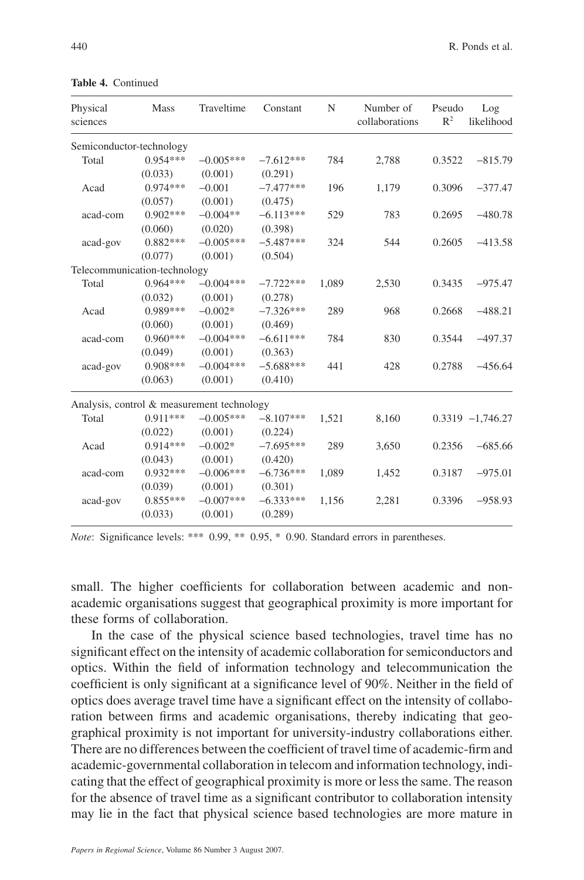| Physical<br>sciences                       | Mass       | Traveltime  | Constant    | N     | Number of<br>collaborations | Pseudo<br>$R^2$ | Log<br>likelihood  |
|--------------------------------------------|------------|-------------|-------------|-------|-----------------------------|-----------------|--------------------|
| Semiconductor-technology                   |            |             |             |       |                             |                 |                    |
| Total                                      | $0.954***$ | $-0.005***$ | $-7.612***$ | 784   | 2,788                       | 0.3522          | $-815.79$          |
|                                            | (0.033)    | (0.001)     | (0.291)     |       |                             |                 |                    |
| Acad                                       | $0.974***$ | $-0.001$    | $-7.477***$ | 196   | 1,179                       | 0.3096          | $-377.47$          |
|                                            | (0.057)    | (0.001)     | (0.475)     |       |                             |                 |                    |
| acad-com                                   | $0.902***$ | $-0.004**$  | $-6.113***$ | 529   | 783                         | 0.2695          | $-480.78$          |
|                                            | (0.060)    | (0.020)     | (0.398)     |       |                             |                 |                    |
| acad-gov                                   | $0.882***$ | $-0.005***$ | $-5.487***$ | 324   | 544                         | 0.2605          | $-413.58$          |
|                                            | (0.077)    | (0.001)     | (0.504)     |       |                             |                 |                    |
| Telecommunication-technology               |            |             |             |       |                             |                 |                    |
| Total                                      | $0.964***$ | $-0.004***$ | $-7.722***$ | 1,089 | 2,530                       | 0.3435          | $-975.47$          |
|                                            | (0.032)    | (0.001)     | (0.278)     |       |                             |                 |                    |
| Acad                                       | $0.989***$ | $-0.002*$   | $-7.326***$ | 289   | 968                         | 0.2668          | $-488.21$          |
|                                            | (0.060)    | (0.001)     | (0.469)     |       |                             |                 |                    |
| acad-com                                   | $0.960***$ | $-0.004***$ | $-6.611***$ | 784   | 830                         | 0.3544          | $-497.37$          |
|                                            | (0.049)    | (0.001)     | (0.363)     |       |                             |                 |                    |
| acad-gov                                   | $0.908***$ | $-0.004***$ | $-5.688***$ | 441   | 428                         | 0.2788          | $-456.64$          |
|                                            | (0.063)    | (0.001)     | (0.410)     |       |                             |                 |                    |
| Analysis, control & measurement technology |            |             |             |       |                             |                 |                    |
| Total                                      | $0.911***$ | $-0.005***$ | $-8.107***$ | 1,521 | 8,160                       |                 | $0.3319 -1,746.27$ |
|                                            | (0.022)    | (0.001)     | (0.224)     |       |                             |                 |                    |
| Acad                                       | $0.914***$ | $-0.002*$   | $-7.695***$ | 289   | 3,650                       | 0.2356          | $-685.66$          |
|                                            | (0.043)    | (0.001)     | (0.420)     |       |                             |                 |                    |
| acad-com                                   | $0.932***$ | $-0.006***$ | $-6.736***$ | 1,089 | 1,452                       | 0.3187          | $-975.01$          |
|                                            | (0.039)    | (0.001)     | (0.301)     |       |                             |                 |                    |
| acad-gov                                   | $0.855***$ | $-0.007***$ | $-6.333***$ | 1,156 | 2,281                       | 0.3396          | $-958.93$          |
|                                            | (0.033)    | (0.001)     | (0.289)     |       |                             |                 |                    |
|                                            |            |             |             |       |                             |                 |                    |

#### **Table 4.** Continued

*Note*: Significance levels: \*\*\* 0.99, \*\* 0.95, \* 0.90. Standard errors in parentheses.

small. The higher coefficients for collaboration between academic and nonacademic organisations suggest that geographical proximity is more important for these forms of collaboration.

In the case of the physical science based technologies, travel time has no significant effect on the intensity of academic collaboration for semiconductors and optics. Within the field of information technology and telecommunication the coefficient is only significant at a significance level of 90%. Neither in the field of optics does average travel time have a significant effect on the intensity of collaboration between firms and academic organisations, thereby indicating that geographical proximity is not important for university-industry collaborations either. There are no differences between the coefficient of travel time of academic-firm and academic-governmental collaboration in telecom and information technology, indicating that the effect of geographical proximity is more or less the same. The reason for the absence of travel time as a significant contributor to collaboration intensity may lie in the fact that physical science based technologies are more mature in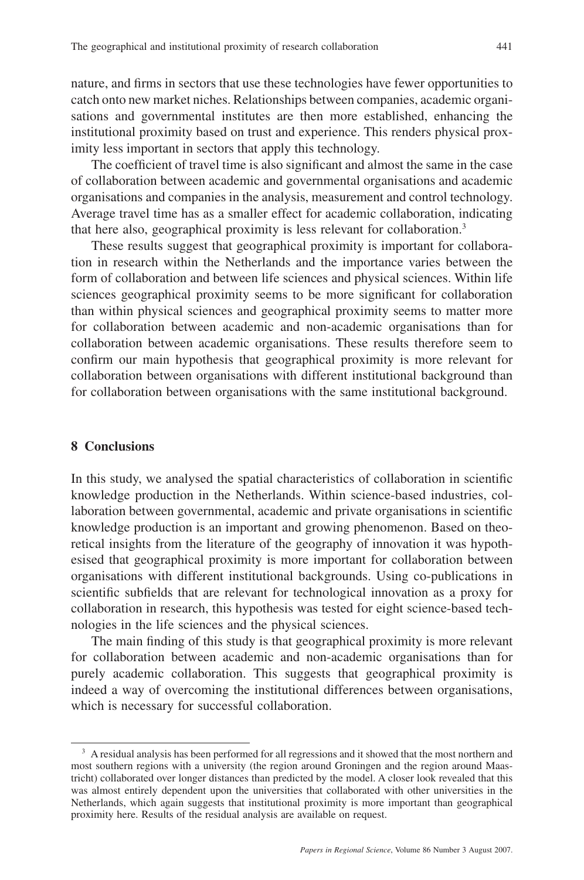nature, and firms in sectors that use these technologies have fewer opportunities to catch onto new market niches. Relationships between companies, academic organisations and governmental institutes are then more established, enhancing the institutional proximity based on trust and experience. This renders physical proximity less important in sectors that apply this technology.

The coefficient of travel time is also significant and almost the same in the case of collaboration between academic and governmental organisations and academic organisations and companies in the analysis, measurement and control technology. Average travel time has as a smaller effect for academic collaboration, indicating that here also, geographical proximity is less relevant for collaboration.3

These results suggest that geographical proximity is important for collaboration in research within the Netherlands and the importance varies between the form of collaboration and between life sciences and physical sciences. Within life sciences geographical proximity seems to be more significant for collaboration than within physical sciences and geographical proximity seems to matter more for collaboration between academic and non-academic organisations than for collaboration between academic organisations. These results therefore seem to confirm our main hypothesis that geographical proximity is more relevant for collaboration between organisations with different institutional background than for collaboration between organisations with the same institutional background.

# **8 Conclusions**

In this study, we analysed the spatial characteristics of collaboration in scientific knowledge production in the Netherlands. Within science-based industries, collaboration between governmental, academic and private organisations in scientific knowledge production is an important and growing phenomenon. Based on theoretical insights from the literature of the geography of innovation it was hypothesised that geographical proximity is more important for collaboration between organisations with different institutional backgrounds. Using co-publications in scientific subfields that are relevant for technological innovation as a proxy for collaboration in research, this hypothesis was tested for eight science-based technologies in the life sciences and the physical sciences.

The main finding of this study is that geographical proximity is more relevant for collaboration between academic and non-academic organisations than for purely academic collaboration. This suggests that geographical proximity is indeed a way of overcoming the institutional differences between organisations, which is necessary for successful collaboration.

<sup>&</sup>lt;sup>3</sup> A residual analysis has been performed for all regressions and it showed that the most northern and most southern regions with a university (the region around Groningen and the region around Maastricht) collaborated over longer distances than predicted by the model. A closer look revealed that this was almost entirely dependent upon the universities that collaborated with other universities in the Netherlands, which again suggests that institutional proximity is more important than geographical proximity here. Results of the residual analysis are available on request.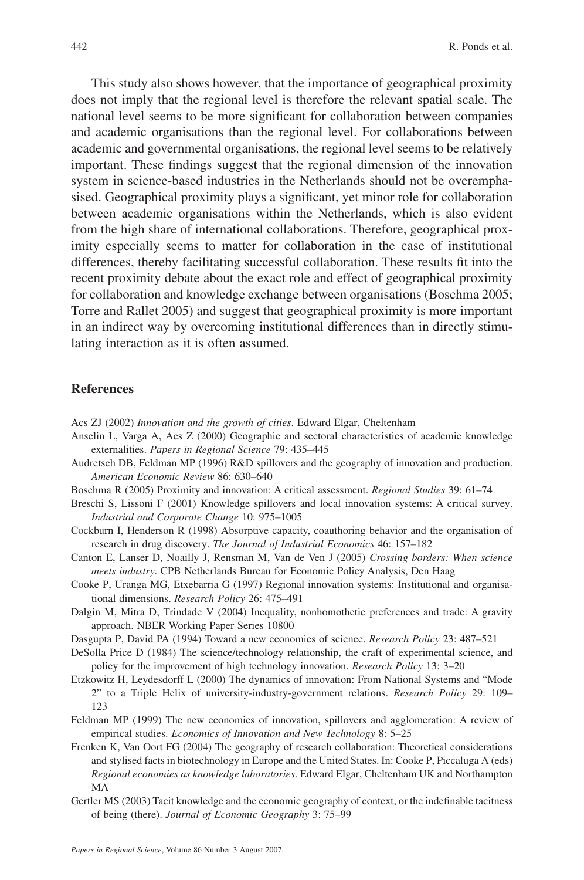This study also shows however, that the importance of geographical proximity does not imply that the regional level is therefore the relevant spatial scale. The national level seems to be more significant for collaboration between companies and academic organisations than the regional level. For collaborations between academic and governmental organisations, the regional level seems to be relatively important. These findings suggest that the regional dimension of the innovation system in science-based industries in the Netherlands should not be overemphasised. Geographical proximity plays a significant, yet minor role for collaboration between academic organisations within the Netherlands, which is also evident from the high share of international collaborations. Therefore, geographical proximity especially seems to matter for collaboration in the case of institutional differences, thereby facilitating successful collaboration. These results fit into the recent proximity debate about the exact role and effect of geographical proximity for collaboration and knowledge exchange between organisations (Boschma 2005; Torre and Rallet 2005) and suggest that geographical proximity is more important in an indirect way by overcoming institutional differences than in directly stimulating interaction as it is often assumed.

#### **References**

- Acs ZJ (2002) *Innovation and the growth of cities*. Edward Elgar, Cheltenham
- Anselin L, Varga A, Acs Z (2000) Geographic and sectoral characteristics of academic knowledge externalities. *Papers in Regional Science* 79: 435–445
- Audretsch DB, Feldman MP (1996) R&D spillovers and the geography of innovation and production. *American Economic Review* 86: 630–640
- Boschma R (2005) Proximity and innovation: A critical assessment. *Regional Studies* 39: 61–74
- Breschi S, Lissoni F (2001) Knowledge spillovers and local innovation systems: A critical survey. *Industrial and Corporate Change* 10: 975–1005
- Cockburn I, Henderson R (1998) Absorptive capacity, coauthoring behavior and the organisation of research in drug discovery. *The Journal of Industrial Economics* 46: 157–182
- Canton E, Lanser D, Noailly J, Rensman M, Van de Ven J (2005) *Crossing borders: When science meets industry*. CPB Netherlands Bureau for Economic Policy Analysis, Den Haag
- Cooke P, Uranga MG, Etxebarria G (1997) Regional innovation systems: Institutional and organisational dimensions. *Research Policy* 26: 475–491
- Dalgin M, Mitra D, Trindade V (2004) Inequality, nonhomothetic preferences and trade: A gravity approach. NBER Working Paper Series 10800
- Dasgupta P, David PA (1994) Toward a new economics of science. *Research Policy* 23: 487–521
- DeSolla Price D (1984) The science/technology relationship, the craft of experimental science, and policy for the improvement of high technology innovation. *Research Policy* 13: 3–20
- Etzkowitz H, Leydesdorff L (2000) The dynamics of innovation: From National Systems and "Mode 2" to a Triple Helix of university-industry-government relations. *Research Policy* 29: 109– 123
- Feldman MP (1999) The new economics of innovation, spillovers and agglomeration: A review of empirical studies. *Economics of Innovation and New Technology* 8: 5–25
- Frenken K, Van Oort FG (2004) The geography of research collaboration: Theoretical considerations and stylised facts in biotechnology in Europe and the United States. In: Cooke P, Piccaluga A (eds) *Regional economies as knowledge laboratories*. Edward Elgar, Cheltenham UK and Northampton MA
- Gertler MS (2003) Tacit knowledge and the economic geography of context, or the indefinable tacitness of being (there). *Journal of Economic Geography* 3: 75–99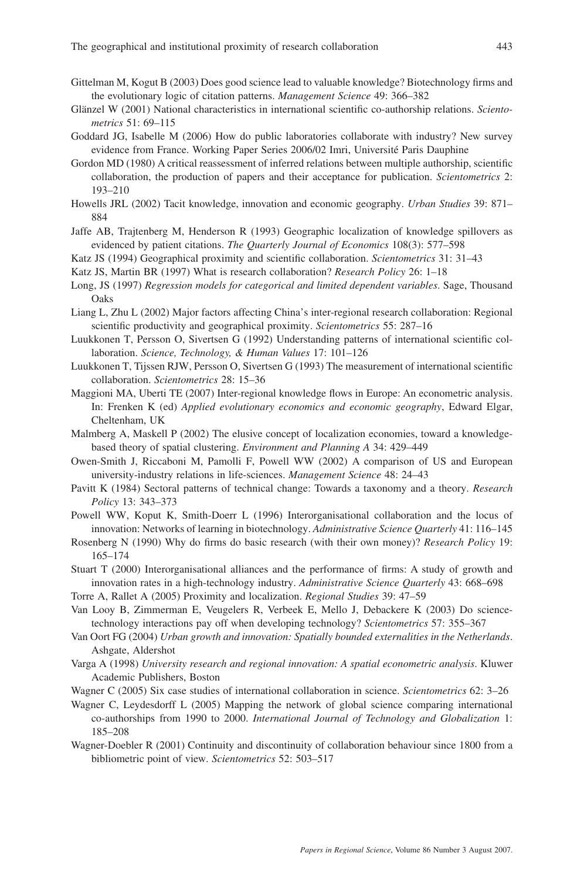- Gittelman M, Kogut B (2003) Does good science lead to valuable knowledge? Biotechnology firms and the evolutionary logic of citation patterns. *Management Science* 49: 366–382
- Glänzel W (2001) National characteristics in international scientific co-authorship relations. *Scientometrics* 51: 69–115
- Goddard JG, Isabelle M (2006) How do public laboratories collaborate with industry? New survey evidence from France. Working Paper Series 2006/02 Imri, Université Paris Dauphine
- Gordon MD (1980) A critical reassessment of inferred relations between multiple authorship, scientific collaboration, the production of papers and their acceptance for publication. *Scientometrics* 2: 193–210
- Howells JRL (2002) Tacit knowledge, innovation and economic geography. *Urban Studies* 39: 871– 884
- Jaffe AB, Trajtenberg M, Henderson R (1993) Geographic localization of knowledge spillovers as evidenced by patient citations. *The Quarterly Journal of Economics* 108(3): 577–598
- Katz JS (1994) Geographical proximity and scientific collaboration. *Scientometrics* 31: 31–43
- Katz JS, Martin BR (1997) What is research collaboration? *Research Policy* 26: 1–18
- Long, JS (1997) *Regression models for categorical and limited dependent variables*. Sage, Thousand Oaks
- Liang L, Zhu L (2002) Major factors affecting China's inter-regional research collaboration: Regional scientific productivity and geographical proximity. *Scientometrics* 55: 287–16
- Luukkonen T, Persson O, Sivertsen G (1992) Understanding patterns of international scientific collaboration. *Science, Technology, & Human Values* 17: 101–126
- Luukkonen T, Tijssen RJW, Persson O, Sivertsen G (1993) The measurement of international scientific collaboration. *Scientometrics* 28: 15–36
- Maggioni MA, Uberti TE (2007) Inter-regional knowledge flows in Europe: An econometric analysis. In: Frenken K (ed) *Applied evolutionary economics and economic geography*, Edward Elgar, Cheltenham, UK
- Malmberg A, Maskell P (2002) The elusive concept of localization economies, toward a knowledgebased theory of spatial clustering. *Environment and Planning A* 34: 429–449
- Owen-Smith J, Riccaboni M, Pamolli F, Powell WW (2002) A comparison of US and European university-industry relations in life-sciences. *Management Science* 48: 24–43
- Pavitt K (1984) Sectoral patterns of technical change: Towards a taxonomy and a theory. *Research Policy* 13: 343–373
- Powell WW, Koput K, Smith-Doerr L (1996) Interorganisational collaboration and the locus of innovation: Networks of learning in biotechnology. *Administrative Science Quarterly* 41: 116–145
- Rosenberg N (1990) Why do firms do basic research (with their own money)? *Research Policy* 19: 165–174
- Stuart T (2000) Interorganisational alliances and the performance of firms: A study of growth and innovation rates in a high-technology industry. *Administrative Science Quarterly* 43: 668–698
- Torre A, Rallet A (2005) Proximity and localization. *Regional Studies* 39: 47–59
- Van Looy B, Zimmerman E, Veugelers R, Verbeek E, Mello J, Debackere K (2003) Do sciencetechnology interactions pay off when developing technology? *Scientometrics* 57: 355–367
- Van Oort FG (2004) *Urban growth and innovation: Spatially bounded externalities in the Netherlands*. Ashgate, Aldershot
- Varga A (1998) *University research and regional innovation: A spatial econometric analysis*. Kluwer Academic Publishers, Boston
- Wagner C (2005) Six case studies of international collaboration in science. *Scientometrics* 62: 3–26
- Wagner C, Leydesdorff L (2005) Mapping the network of global science comparing international co-authorships from 1990 to 2000. *International Journal of Technology and Globalization* 1: 185–208
- Wagner-Doebler R (2001) Continuity and discontinuity of collaboration behaviour since 1800 from a bibliometric point of view. *Scientometrics* 52: 503–517